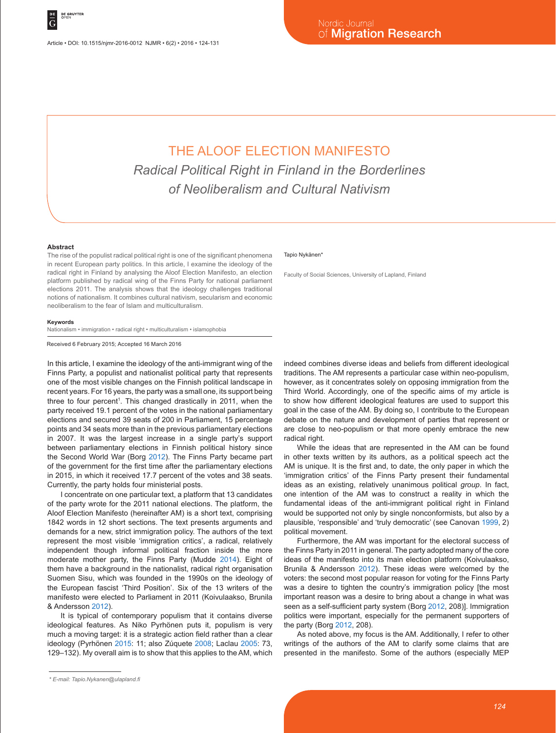Article • DOI: 10.1515/njmr-2016-0012 NJMR • 6(2) • 2016 • 124-131

# THE ALOOF ELECTION MANIFESTO *Radical Political Right in Finland in the Borderlines of Neoliberalism and Cultural Nativism*

#### **Abstract**

The rise of the populist radical political right is one of the significant phenomena in recent European party politics. In this article, I examine the ideology of the radical right in Finland by analysing the Aloof Election Manifesto, an election platform published by radical wing of the Finns Party for national parliament elections 2011. The analysis shows that the ideology challenges traditional notions of nationalism. It combines cultural nativism, secularism and economic neoliberalism to the fear of Islam and multiculturalism.

#### **Keywords**

Nationalism • immigration • radical right • multiculturalism • islamophobia

Received 6 February 2015; Accepted 16 March 2016

In this article, I examine the ideology of the anti-immigrant wing of the Finns Party, a populist and nationalist political party that represents one of the most visible changes on the Finnish political landscape in recent years. For 16 years, the party was a small one, its support being three to four percent<sup>1</sup>. This changed drastically in 2011, when the party received 19.1 percent of the votes in the national parliamentary elections and secured 39 seats of 200 in Parliament, 15 percentage points and 34 seats more than in the previous parliamentary elections in 2007. It was the largest increase in a single party's support between parliamentary elections in Finnish political history since the Second World War (Borg 2012). The Finns Party became part of the government for the first time after the parliamentary elections in 2015, in which it received 17.7 percent of the votes and 38 seats. Currently, the party holds four ministerial posts.

I concentrate on one particular text, a platform that 13 candidates of the party wrote for the 2011 national elections. The platform, the Aloof Election Manifesto (hereinafter AM) is a short text, comprising 1842 words in 12 short sections. The text presents arguments and demands for a new, strict immigration policy. The authors of the text represent the most visible 'immigration critics', a radical, relatively independent though informal political fraction inside the more moderate mother party, the Finns Party (Mudde 2014). Eight of them have a background in the nationalist, radical right organisation Suomen Sisu, which was founded in the 1990s on the ideology of the European fascist 'Third Position'. Six of the 13 writers of the manifesto were elected to Parliament in 2011 (Koivulaakso, Brunila & Andersson 2012).

It is typical of contemporary populism that it contains diverse ideological features. As Niko Pyrhönen puts it, populism is very much a moving target: it is a strategic action field rather than a clear ideology (Pyrhönen 2015: 11; also Zúquete 2008; Laclau 2005: 73, 129–132). My overall aim is to show that this applies to the AM, which

#### Tapio Nykänen<sup>\*</sup>

Faculty of Social Sciences, University of Lapland, Finland

indeed combines diverse ideas and beliefs from different ideological traditions. The AM represents a particular case within neo-populism, however, as it concentrates solely on opposing immigration from the Third World. Accordingly, one of the specific aims of my article is to show how different ideological features are used to support this goal in the case of the AM. By doing so, I contribute to the European debate on the nature and development of parties that represent or are close to neo-populism or that more openly embrace the new radical right.

While the ideas that are represented in the AM can be found in other texts written by its authors, as a political speech act the AM is unique. It is the first and, to date, the only paper in which the 'immigration critics' of the Finns Party present their fundamental ideas as an existing, relatively unanimous political *group*. In fact, one intention of the AM was to construct a reality in which the fundamental ideas of the anti-immigrant political right in Finland would be supported not only by single nonconformists, but also by a plausible, 'responsible' and 'truly democratic' (see Canovan 1999, 2) political movement.

Furthermore, the AM was important for the electoral success of the Finns Party in 2011 in general. The party adopted many of the core ideas of the manifesto into its main election platform (Koivulaakso, Brunila & Andersson 2012). These ideas were welcomed by the voters: the second most popular reason for voting for the Finns Party was a desire to tighten the country's immigration policy [the most important reason was a desire to bring about a change in what was seen as a self-sufficient party system (Borg 2012, 208)]. Immigration politics were important, especially for the permanent supporters of the party (Borg 2012, 208).

As noted above, my focus is the AM. Additionally, I refer to other writings of the authors of the AM to clarify some claims that are presented in the manifesto. Some of the authors (especially MEP

*<sup>\*</sup> E-mail: Tapio.Nykanen@ulapland.fi*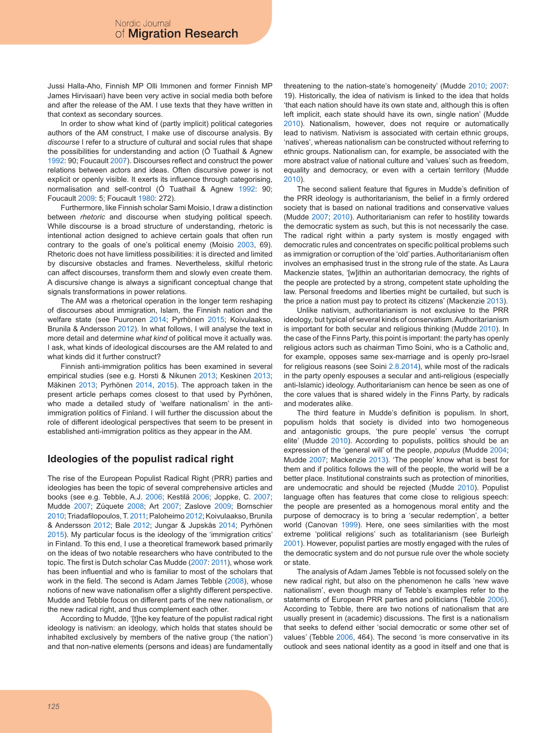Jussi Halla-Aho, Finnish MP Olli Immonen and former Finnish MP James Hirvisaari) have been very active in social media both before and after the release of the AM. I use texts that they have written in that context as secondary sources.

In order to show what kind of (partly implicit) political categories authors of the AM construct, I make use of discourse analysis. By *discourse* I refer to a structure of cultural and social rules that shape the possibilities for understanding and action (Ó Tuathail & Agnew 1992: 90; Foucault 2007). Discourses reflect and construct the power relations between actors and ideas. Often discursive power is not explicit or openly visible. It exerts its influence through categorising, normalisation and self-control (Ó Tuathail & Agnew 1992: 90; Foucault 2009: 5; Foucault 1980: 272).

Furthermore, like Finnish scholar Sami Moisio, I draw a distinction between *rhetoric* and discourse when studying political speech. While discourse is a broad structure of understanding, rhetoric is intentional action designed to achieve certain goals that often run contrary to the goals of one's political enemy (Moisio 2003, 69). Rhetoric does not have limitless possibilities: it is directed and limited by discursive obstacles and frames. Nevertheless, skilful rhetoric can affect discourses, transform them and slowly even create them. A discursive change is always a significant conceptual change that signals transformations in power relations.

The AM was a rhetorical operation in the longer term reshaping of discourses about immigration, Islam, the Finnish nation and the welfare state (see Puuronen 2014; Pyrhönen 2015; Koivulaakso, Brunila & Andersson 2012). In what follows, I will analyse the text in more detail and determine *what kind* of political move it actually was. I ask, what kinds of ideological discourses are the AM related to and what kinds did it further construct?

Finnish anti-immigration politics has been examined in several empirical studies (see e.g. Horsti & Nikunen 2013; Keskinen 2013; Mäkinen 2013; Pyrhönen 2014, 2015). The approach taken in the present article perhaps comes closest to that used by Pyrhönen, who made a detailed study of 'welfare nationalism' in the antiimmigration politics of Finland. I will further the discussion about the role of different ideological perspectives that seem to be present in established anti-immigration politics as they appear in the AM.

### **Ideologies of the populist radical right**

The rise of the European Populist Radical Right (PRR) parties and ideologies has been the topic of several comprehensive articles and books (see e.g. Tebble, A.J. 2006; Kestilä 2006; Joppke, C. 2007; Mudde 2007; Zúquete 2008; Art 2007; Zaslove 2009; Bornschier 2010; Triadafilopoulos, T. 2011; Paloheimo 2012; Koivulaakso, Brunila & Andersson 2012; Bale 2012; Jungar & Jupskås 2014; Pyrhönen 2015). My particular focus is the ideology of the 'immigration critics' in Finland. To this end, I use a theoretical framework based primarily on the ideas of two notable researchers who have contributed to the topic. The first is Dutch scholar Cas Mudde (2007: 2011), whose work has been influential and who is familiar to most of the scholars that work in the field. The second is Adam James Tebble (2008), whose notions of new wave nationalism offer a slightly different perspective. Mudde and Tebble focus on different parts of the new nationalism, or the new radical right, and thus complement each other.

According to Mudde, '[t]he key feature of the populist radical right ideology is nativism: an ideology, which holds that states should be inhabited exclusively by members of the native group ('the nation') and that non-native elements (persons and ideas) are fundamentally threatening to the nation-state's homogeneity' (Mudde 2010; 2007: 19). Historically, the idea of nativism is linked to the idea that holds 'that each nation should have its own state and, although this is often left implicit, each state should have its own, single nation' (Mudde 2010). Nationalism, however, does not require or automatically lead to nativism. Nativism is associated with certain ethnic groups, 'natives', whereas nationalism can be constructed without referring to ethnic groups. Nationalism can, for example, be associated with the more abstract value of national culture and 'values' such as freedom, equality and democracy, or even with a certain territory (Mudde 2010).

The second salient feature that figures in Mudde's definition of the PRR ideology is authoritarianism, the belief in a firmly ordered society that is based on national traditions and conservative values (Mudde 2007; 2010). Authoritarianism can refer to hostility towards the democratic system as such, but this is not necessarily the case. The radical right within a party system is mostly engaged with democratic rules and concentrates on specific political problems such as immigration or corruption of the 'old' parties. Authoritarianism often involves an emphasised trust in the strong rule of the state. As Laura Mackenzie states, '[w]ithin an authoritarian democracy, the rights of the people are protected by a strong, competent state upholding the law. Personal freedoms and liberties might be curtailed, but such is the price a nation must pay to protect its citizens' (Mackenzie 2013).

Unlike nativism, authoritarianism is not exclusive to the PRR ideology, but typical of several kinds of conservatism. Authoritarianism is important for both secular and religious thinking (Mudde 2010). In the case of the Finns Party, this point is important: the party has openly religious actors such as chairman Timo Soini, who is a Catholic and, for example, opposes same sex-marriage and is openly pro-Israel for religious reasons (see Soini 2.8.2014), while most of the radicals in the party openly espouses a secular and anti-religious (especially anti-Islamic) ideology. Authoritarianism can hence be seen as one of the core values that is shared widely in the Finns Party, by radicals and moderates alike.

The third feature in Mudde's definition is populism. In short, populism holds that society is divided into two homogeneous and antagonistic groups, 'the pure people' versus 'the corrupt elite' (Mudde 2010). According to populists, politics should be an expression of the 'general will' of the people, *populus* (Mudde 2004; Mudde 2007; Mackenzie 2013). 'The people' know what is best for them and if politics follows the will of the people, the world will be a better place. Institutional constraints such as protection of minorities, are undemocratic and should be rejected (Mudde 2010). Populist language often has features that come close to religious speech: the people are presented as a homogenous moral entity and the purpose of democracy is to bring a 'secular redemption', a better world (Canovan 1999). Here, one sees similarities with the most extreme 'political religions' such as totalitarianism (see Burleigh 2001). However, populist parties are mostly engaged with the rules of the democratic system and do not pursue rule over the whole society or state.

The analysis of Adam James Tebble is not focussed solely on the new radical right, but also on the phenomenon he calls 'new wave nationalism', even though many of Tebble's examples refer to the statements of European PRR parties and politicians (Tebble 2006). According to Tebble, there are two notions of nationalism that are usually present in (academic) discussions. The first is a nationalism that seeks to defend either 'social democratic or some other set of values' (Tebble 2006, 464). The second 'is more conservative in its outlook and sees national identity as a good in itself and one that is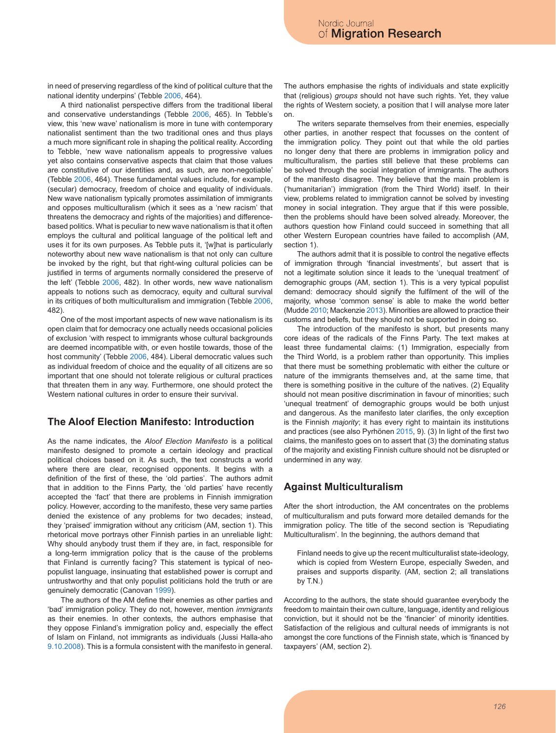in need of preserving regardless of the kind of political culture that the national identity underpins' (Tebble 2006, 464).

A third nationalist perspective differs from the traditional liberal and conservative understandings (Tebble 2006, 465). In Tebble's view, this 'new wave' nationalism is more in tune with contemporary nationalist sentiment than the two traditional ones and thus plays a much more significant role in shaping the political reality. According to Tebble, 'new wave nationalism appeals to progressive values yet also contains conservative aspects that claim that those values are constitutive of our identities and, as such, are non-negotiable' (Tebble 2006, 464). These fundamental values include, for example, (secular) democracy, freedom of choice and equality of individuals. New wave nationalism typically promotes assimilation of immigrants and opposes multiculturalism (which it sees as a 'new racism' that threatens the democracy and rights of the majorities) and differencebased politics. What is peculiar to new wave nationalism is that it often employs the cultural and political language of the political left and uses it for its own purposes. As Tebble puts it, '[w]hat is particularly noteworthy about new wave nationalism is that not only can culture be invoked by the right, but that right-wing cultural policies can be justified in terms of arguments normally considered the preserve of the left' (Tebble 2006, 482). In other words, new wave nationalism appeals to notions such as democracy, equity and cultural survival in its critiques of both multiculturalism and immigration (Tebble 2006, 482).

One of the most important aspects of new wave nationalism is its open claim that for democracy one actually needs occasional policies of exclusion 'with respect to immigrants whose cultural backgrounds are deemed incompatible with, or even hostile towards, those of the host community' (Tebble 2006, 484). Liberal democratic values such as individual freedom of choice and the equality of all citizens are so important that one should not tolerate religious or cultural practices that threaten them in any way. Furthermore, one should protect the Western national cultures in order to ensure their survival.

## **The Aloof Election Manifesto: Introduction**

As the name indicates, the *Aloof Election Manifesto* is a political manifesto designed to promote a certain ideology and practical political choices based on it. As such, the text constructs a world where there are clear, recognised opponents. It begins with a definition of the first of these, the 'old parties'. The authors admit that in addition to the Finns Party, the 'old parties' have recently accepted the 'fact' that there are problems in Finnish immigration policy. However, according to the manifesto, these very same parties denied the existence of any problems for two decades; instead, they 'praised' immigration without any criticism (AM, section 1). This rhetorical move portrays other Finnish parties in an unreliable light: Why should anybody trust them if they are, in fact, responsible for a long-term immigration policy that is the cause of the problems that Finland is currently facing? This statement is typical of neopopulist language, insinuating that established power is corrupt and untrustworthy and that only populist politicians hold the truth or are genuinely democratic (Canovan 1999).

The authors of the AM define their enemies as other parties and 'bad' immigration policy. They do not, however, mention *immigrants* as their enemies. In other contexts, the authors emphasise that they oppose Finland's immigration policy and, especially the effect of Islam on Finland, not immigrants as individuals (Jussi Halla-aho 9.10.2008). This is a formula consistent with the manifesto in general.

The authors emphasise the rights of individuals and state explicitly that (religious) *groups* should not have such rights. Yet, they value the rights of Western society, a position that I will analyse more later on.

The writers separate themselves from their enemies, especially other parties, in another respect that focusses on the content of the immigration policy. They point out that while the old parties no longer deny that there are problems in immigration policy and multiculturalism, the parties still believe that these problems can be solved through the social integration of immigrants. The authors of the manifesto disagree. They believe that the main problem is ('humanitarian') immigration (from the Third World) itself. In their view, problems related to immigration cannot be solved by investing money in social integration. They argue that if this were possible, then the problems should have been solved already. Moreover, the authors question how Finland could succeed in something that all other Western European countries have failed to accomplish (AM, section 1).

The authors admit that it is possible to control the negative effects of immigration through 'financial investments', but assert that is not a legitimate solution since it leads to the 'unequal treatment' of demographic groups (AM, section 1). This is a very typical populist demand: democracy should signify the fulfilment of the will of the majority, whose 'common sense' is able to make the world better (Mudde 2010; Mackenzie 2013). Minorities are allowed to practice their customs and beliefs, but they should not be supported in doing so.

The introduction of the manifesto is short, but presents many core ideas of the radicals of the Finns Party. The text makes at least three fundamental claims: (1) Immigration, especially from the Third World, is a problem rather than opportunity. This implies that there must be something problematic with either the culture or nature of the immigrants themselves and, at the same time, that there is something positive in the culture of the natives. (2) Equality should not mean positive discrimination in favour of minorities; such 'unequal treatment' of demographic groups would be both unjust and dangerous. As the manifesto later clarifies, the only exception is the Finnish *majority*; it has every right to maintain its institutions and practices (see also Pyrhönen 2015, 9). (3) In light of the first two claims, the manifesto goes on to assert that (3) the dominating status of the majority and existing Finnish culture should not be disrupted or undermined in any way.

### **Against Multiculturalism**

After the short introduction, the AM concentrates on the problems of multiculturalism and puts forward more detailed demands for the immigration policy. The title of the second section is 'Repudiating Multiculturalism'. In the beginning, the authors demand that

Finland needs to give up the recent multiculturalist state-ideology, which is copied from Western Europe, especially Sweden, and praises and supports disparity. (AM, section 2; all translations by T.N.)

According to the authors, the state should guarantee everybody the freedom to maintain their own culture, language, identity and religious conviction, but it should not be the 'financier' of minority identities. Satisfaction of the religious and cultural needs of immigrants is not amongst the core functions of the Finnish state, which is 'financed by taxpayers' (AM, section 2).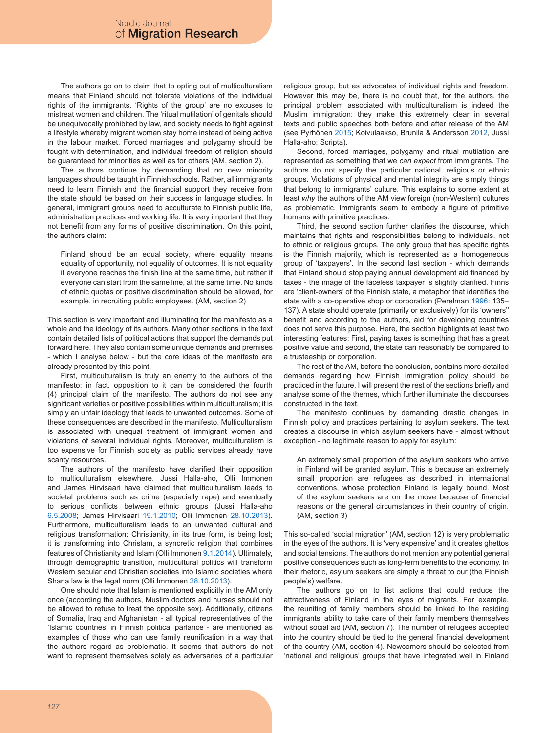The authors go on to claim that to opting out of multiculturalism means that Finland should not tolerate violations of the individual rights of the immigrants. 'Rights of the group' are no excuses to mistreat women and children. The 'ritual mutilation' of genitals should be unequivocally prohibited by law, and society needs to fight against a lifestyle whereby migrant women stay home instead of being active in the labour market. Forced marriages and polygamy should be fought with determination, and individual freedom of religion should be guaranteed for minorities as well as for others (AM, section 2).

The authors continue by demanding that no new minority languages should be taught in Finnish schools. Rather, all immigrants need to learn Finnish and the financial support they receive from the state should be based on their success in language studies. In general, immigrant groups need to acculturate to Finnish public life, administration practices and working life. It is very important that they not benefit from any forms of positive discrimination. On this point, the authors claim:

Finland should be an equal society, where equality means equality of opportunity, not equality of outcomes. It is not equality if everyone reaches the finish line at the same time, but rather if everyone can start from the same line, at the same time. No kinds of ethnic quotas or positive discrimination should be allowed, for example, in recruiting public employees. (AM, section 2)

This section is very important and illuminating for the manifesto as a whole and the ideology of its authors. Many other sections in the text contain detailed lists of political actions that support the demands put forward here. They also contain some unique demands and premises - which I analyse below - but the core ideas of the manifesto are already presented by this point.

First, multiculturalism is truly an enemy to the authors of the manifesto; in fact, opposition to it can be considered the fourth (4) principal claim of the manifesto. The authors do not see any significant varieties or positive possibilities within multiculturalism; it is simply an unfair ideology that leads to unwanted outcomes. Some of these consequences are described in the manifesto. Multiculturalism is associated with unequal treatment of immigrant women and violations of several individual rights. Moreover, multiculturalism is too expensive for Finnish society as public services already have scanty resources.

The authors of the manifesto have clarified their opposition to multiculturalism elsewhere. Jussi Halla-aho, Olli Immonen and James Hirvisaari have claimed that multiculturalism leads to societal problems such as crime (especially rape) and eventually to serious conflicts between ethnic groups (Jussi Halla-aho 6.5.2008; James Hirvisaari 19.1.2010; Olli Immonen 28.10.2013). Furthermore, multiculturalism leads to an unwanted cultural and religious transformation: Christianity, in its true form, is being lost; it is transforming into Chrislam, a syncretic religion that combines features of Christianity and Islam (Olli Immonen 9.1.2014). Ultimately, through demographic transition, multicultural politics will transform Western secular and Christian societies into Islamic societies where Sharia law is the legal norm (Olli Immonen 28.10.2013).

One should note that Islam is mentioned explicitly in the AM only once (according the authors, Muslim doctors and nurses should not be allowed to refuse to treat the opposite sex). Additionally, citizens of Somalia, Iraq and Afghanistan - all typical representatives of the 'Islamic countries' in Finnish political parlance - are mentioned as examples of those who can use family reunification in a way that the authors regard as problematic. It seems that authors do not want to represent themselves solely as adversaries of a particular

religious group, but as advocates of individual rights and freedom. However this may be, there is no doubt that, for the authors, the principal problem associated with multiculturalism is indeed the Muslim immigration: they make this extremely clear in several texts and public speeches both before and after release of the AM (see Pyrhönen 2015; Koivulaakso, Brunila & Andersson 2012, Jussi Halla-aho: Scripta).

Second, forced marriages, polygamy and ritual mutilation are represented as something that we *can expect* from immigrants. The authors do not specify the particular national, religious or ethnic groups. Violations of physical and mental integrity are simply things that belong to immigrants' culture. This explains to some extent at least *why* the authors of the AM view foreign (non-Western) cultures as problematic. Immigrants seem to embody a figure of primitive humans with primitive practices.

Third, the second section further clarifies the discourse, which maintains that rights and responsibilities belong to individuals, not to ethnic or religious groups. The only group that has specific rights is the Finnish majority, which is represented as a homogeneous group of 'taxpayers'. In the second last section - which demands that Finland should stop paying annual development aid financed by taxes - the image of the faceless taxpayer is slightly clarified. Finns are 'client-owners' of the Finnish state, a metaphor that identifies the state with a co-operative shop or corporation (Perelman 1996: 135– 137). A state should operate (primarily or exclusively) for its 'owners'' benefit and according to the authors, aid for developing countries does not serve this purpose. Here, the section highlights at least two interesting features: First, paying taxes is something that has a great positive value and second, the state can reasonably be compared to a trusteeship or corporation.

The rest of the AM, before the conclusion, contains more detailed demands regarding how Finnish immigration policy should be practiced in the future. I will present the rest of the sections briefly and analyse some of the themes, which further illuminate the discourses constructed in the text.

The manifesto continues by demanding drastic changes in Finnish policy and practices pertaining to asylum seekers. The text creates a discourse in which asylum seekers have - almost without exception - no legitimate reason to apply for asylum:

An extremely small proportion of the asylum seekers who arrive in Finland will be granted asylum. This is because an extremely small proportion are refugees as described in international conventions, whose protection Finland is legally bound. Most of the asylum seekers are on the move because of financial reasons or the general circumstances in their country of origin. (AM, section 3)

This so-called 'social migration' (AM, section 12) is very problematic in the eyes of the authors. It is 'very expensive' and it creates ghettos and social tensions. The authors do not mention any potential general positive consequences such as long-term benefits to the economy. In their rhetoric, asylum seekers are simply a threat to our (the Finnish people's) welfare.

The authors go on to list actions that could reduce the attractiveness of Finland in the eyes of migrants. For example, the reuniting of family members should be linked to the residing immigrants' ability to take care of their family members themselves without social aid (AM, section 7). The number of refugees accepted into the country should be tied to the general financial development of the country (AM, section 4). Newcomers should be selected from 'national and religious' groups that have integrated well in Finland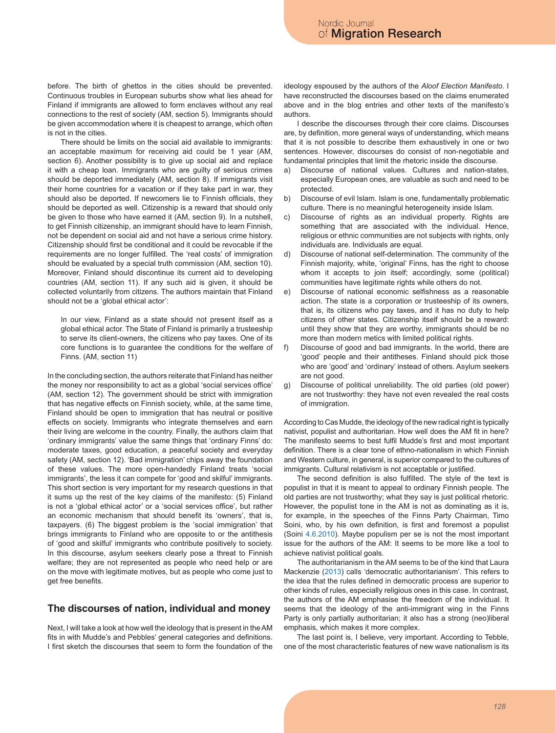before. The birth of ghettos in the cities should be prevented. Continuous troubles in European suburbs show what lies ahead for Finland if immigrants are allowed to form enclaves without any real connections to the rest of society (AM, section 5). Immigrants should be given accommodation where it is cheapest to arrange, which often is not in the cities.

There should be limits on the social aid available to immigrants: an acceptable maximum for receiving aid could be 1 year (AM, section 6). Another possibility is to give up social aid and replace it with a cheap loan. Immigrants who are guilty of serious crimes should be deported immediately (AM, section 8). If immigrants visit their home countries for a vacation or if they take part in war, they should also be deported. If newcomers lie to Finnish officials, they should be deported as well. Citizenship is a reward that should only be given to those who have earned it (AM, section 9). In a nutshell, to get Finnish citizenship, an immigrant should have to learn Finnish, not be dependent on social aid and not have a serious crime history. Citizenship should first be conditional and it could be revocable if the requirements are no longer fulfilled. The 'real costs' of immigration should be evaluated by a special truth commission (AM, section 10). Moreover, Finland should discontinue its current aid to developing countries (AM, section 11). If any such aid is given, it should be collected voluntarily from citizens. The authors maintain that Finland should not be a 'global ethical actor':

In our view, Finland as a state should not present itself as a global ethical actor. The State of Finland is primarily a trusteeship to serve its client-owners, the citizens who pay taxes. One of its core functions is to guarantee the conditions for the welfare of Finns. (AM, section 11)

In the concluding section, the authors reiterate that Finland has neither the money nor responsibility to act as a global 'social services office' (AM, section 12). The government should be strict with immigration that has negative effects on Finnish society, while, at the same time, Finland should be open to immigration that has neutral or positive effects on society. Immigrants who integrate themselves and earn their living are welcome in the country. Finally, the authors claim that 'ordinary immigrants' value the same things that 'ordinary Finns' do: moderate taxes, good education, a peaceful society and everyday safety (AM, section 12). 'Bad immigration' chips away the foundation of these values. The more open-handedly Finland treats 'social immigrants', the less it can compete for 'good and skilful' immigrants. This short section is very important for my research questions in that it sums up the rest of the key claims of the manifesto: (5) Finland is not a 'global ethical actor' or a 'social services office', but rather an economic mechanism that should benefit its 'owners', that is, taxpayers. (6) The biggest problem is the 'social immigration' that brings immigrants to Finland who are opposite to or the antithesis of 'good and skilful' immigrants who contribute positively to society. In this discourse, asylum seekers clearly pose a threat to Finnish welfare; they are not represented as people who need help or are on the move with legitimate motives, but as people who come just to get free benefits.

### **The discourses of nation, individual and money**

Next, I will take a look at how well the ideology that is present in the AM fits in with Mudde's and Pebbles' general categories and definitions. I first sketch the discourses that seem to form the foundation of the ideology espoused by the authors of the *Aloof Election Manifesto*. I have reconstructed the discourses based on the claims enumerated above and in the blog entries and other texts of the manifesto's authors.

I describe the discourses through their core claims. Discourses are, by definition, more general ways of understanding, which means that it is not possible to describe them exhaustively in one or two sentences. However, discourses do consist of non-negotiable and fundamental principles that limit the rhetoric inside the discourse.

- a) Discourse of national values. Cultures and nation-states, especially European ones, are valuable as such and need to be protected.
- b) Discourse of evil Islam. Islam is one, fundamentally problematic culture. There is no meaningful heterogeneity inside Islam.
- c) Discourse of rights as an individual property. Rights are something that are associated with the individual. Hence, religious or ethnic communities are not subjects with rights, only individuals are. Individuals are equal.
- d) Discourse of national self-determination. The community of the Finnish majority, white, 'original' Finns, has the right to choose whom it accepts to join itself; accordingly, some (political) communities have legitimate rights while others do not.
- e) Discourse of national economic selfishness as a reasonable action. The state is a corporation or trusteeship of its owners, that is, its citizens who pay taxes, and it has no duty to help citizens of other states. Citizenship itself should be a reward: until they show that they are worthy, immigrants should be no more than modern metics with limited political rights.
- f) Discourse of good and bad immigrants. In the world, there are 'good' people and their antitheses. Finland should pick those who are 'good' and 'ordinary' instead of others. Asylum seekers are not good.
- g) Discourse of political unreliability. The old parties (old power) are not trustworthy: they have not even revealed the real costs of immigration.

According to Cas Mudde, the ideology of the new radical right is typically nativist, populist and authoritarian. How well does the AM fit in here? The manifesto seems to best fulfil Mudde's first and most important definition. There is a clear tone of ethno-nationalism in which Finnish and Western culture, in general, is superior compared to the cultures of immigrants. Cultural relativism is not acceptable or justified.

The second definition is also fulfilled. The style of the text is populist in that it is meant to appeal to ordinary Finnish people. The old parties are not trustworthy; what they say is just political rhetoric. However, the populist tone in the AM is not as dominating as it is, for example, in the speeches of the Finns Party Chairman, Timo Soini, who, by his own definition, is first and foremost a populist (Soini 4.6.2010). Maybe populism per se is not the most important issue for the authors of the AM: It seems to be more like a tool to achieve nativist political goals.

The authoritarianism in the AM seems to be of the kind that Laura Mackenzie (2013) calls 'democratic authoritarianism'. This refers to the idea that the rules defined in democratic process are superior to other kinds of rules, especially religious ones in this case. In contrast, the authors of the AM emphasise the freedom of the individual. It seems that the ideology of the anti-immigrant wing in the Finns Party is only partially authoritarian; it also has a strong (neo)liberal emphasis, which makes it more complex.

The last point is, I believe, very important. According to Tebble, one of the most characteristic features of new wave nationalism is its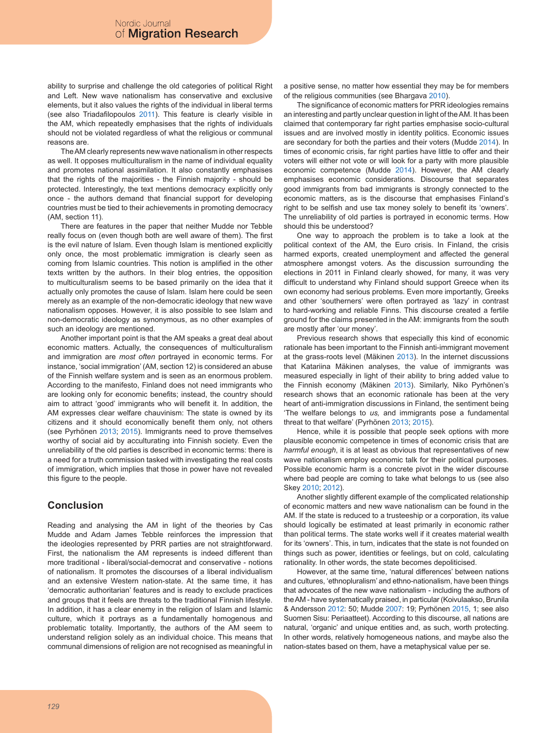ability to surprise and challenge the old categories of political Right and Left. New wave nationalism has conservative and exclusive elements, but it also values the rights of the individual in liberal terms (see also Triadafilopoulos 2011). This feature is clearly visible in the AM, which repeatedly emphasises that the rights of individuals should not be violated regardless of what the religious or communal reasons are.

The AM clearly represents new wave nationalism in other respects as well. It opposes multiculturalism in the name of individual equality and promotes national assimilation. It also constantly emphasises that the rights of the majorities - the Finnish majority - should be protected. Interestingly, the text mentions democracy explicitly only once - the authors demand that financial support for developing countries must be tied to their achievements in promoting democracy (AM, section 11).

There are features in the paper that neither Mudde nor Tebble really focus on (even though both are well aware of them). The first is the evil nature of Islam. Even though Islam is mentioned explicitly only once, the most problematic immigration is clearly seen as coming from Islamic countries. This notion is amplified in the other texts written by the authors. In their blog entries, the opposition to multiculturalism seems to be based primarily on the idea that it actually only promotes the cause of Islam. Islam here could be seen merely as an example of the non-democratic ideology that new wave nationalism opposes. However, it is also possible to see Islam and non-democratic ideology as synonymous, as no other examples of such an ideology are mentioned.

Another important point is that the AM speaks a great deal about economic matters. Actually, the consequences of multiculturalism and immigration are *most often* portrayed in economic terms. For instance, 'social immigration' (AM, section 12) is considered an abuse of the Finnish welfare system and is seen as an enormous problem. According to the manifesto, Finland does not need immigrants who are looking only for economic benefits; instead, the country should aim to attract 'good' immigrants who will benefit it. In addition, the AM expresses clear welfare chauvinism: The state is owned by its citizens and it should economically benefit them only, not others (see Pyrhönen 2013; 2015). Immigrants need to prove themselves worthy of social aid by acculturating into Finnish society. Even the unreliability of the old parties is described in economic terms: there is a need for a truth commission tasked with investigating the real costs of immigration, which implies that those in power have not revealed this figure to the people.

# **Conclusion**

Reading and analysing the AM in light of the theories by Cas Mudde and Adam James Tebble reinforces the impression that the ideologies represented by PRR parties are not straightforward. First, the nationalism the AM represents is indeed different than more traditional - liberal/social-democrat and conservative - notions of nationalism. It promotes the discourses of a liberal individualism and an extensive Western nation-state. At the same time, it has 'democratic authoritarian' features and is ready to exclude practices and groups that it feels are threats to the traditional Finnish lifestyle. In addition, it has a clear enemy in the religion of Islam and Islamic culture, which it portrays as a fundamentally homogenous and problematic totality. Importantly, the authors of the AM seem to understand religion solely as an individual choice. This means that communal dimensions of religion are not recognised as meaningful in

a positive sense, no matter how essential they may be for members of the religious communities (see Bhargava 2010).

The significance of economic matters for PRR ideologies remains an interesting and partly unclear question in light of the AM. It has been claimed that contemporary far right parties emphasise socio-cultural issues and are involved mostly in identity politics. Economic issues are secondary for both the parties and their voters (Mudde 2014). In times of economic crisis, far right parties have little to offer and their voters will either not vote or will look for a party with more plausible economic competence (Mudde 2014). However, the AM clearly emphasises economic considerations. Discourse that separates good immigrants from bad immigrants is strongly connected to the economic matters, as is the discourse that emphasises Finland's right to be selfish and use tax money solely to benefit its 'owners'. The unreliability of old parties is portrayed in economic terms. How should this be understood?

One way to approach the problem is to take a look at the political context of the AM, the Euro crisis. In Finland, the crisis harmed exports, created unemployment and affected the general atmosphere amongst voters. As the discussion surrounding the elections in 2011 in Finland clearly showed, for many, it was very difficult to understand why Finland should support Greece when its own economy had serious problems. Even more importantly, Greeks and other 'southerners' were often portrayed as 'lazy' in contrast to hard-working and reliable Finns. This discourse created a fertile ground for the claims presented in the AM: immigrants from the south are mostly after 'our money'.

Previous research shows that especially this kind of economic rationale has been important to the Finnish anti-immigrant movement at the grass-roots level (Mäkinen 2013). In the internet discussions that Katariina Mäkinen analyses, the value of immigrants was measured especially in light of their ability to bring added value to the Finnish economy (Mäkinen 2013). Similarly, Niko Pyrhönen's research shows that an economic rationale has been at the very heart of anti-immigration discussions in Finland, the sentiment being 'The welfare belongs to *us,* and immigrants pose a fundamental threat to that welfare' (Pyrhönen 2013; 2015).

Hence, while it is possible that people seek options with more plausible economic competence in times of economic crisis that are *harmful enough*, it is at least as obvious that representatives of new wave nationalism employ economic talk for their political purposes. Possible economic harm is a concrete pivot in the wider discourse where bad people are coming to take what belongs to us (see also Skey 2010; 2012).

Another slightly different example of the complicated relationship of economic matters and new wave nationalism can be found in the AM. If the state is reduced to a trusteeship or a corporation, its value should logically be estimated at least primarily in economic rather than political terms. The state works well if it creates material wealth for its 'owners'. This, in turn, indicates that the state is not founded on things such as power, identities or feelings, but on cold, calculating rationality. In other words, the state becomes depoliticised.

However, at the same time, 'natural differences' between nations and cultures, 'ethnopluralism' and ethno-nationalism, have been things that advocates of the new wave nationalism - including the authors of the AM - have systematically praised, in particular (Koivulaakso, Brunila & Andersson 2012: 50; Mudde 2007: 19; Pyrhönen 2015, 1; see also Suomen Sisu: Periaatteet). According to this discourse, all nations are natural, 'organic' and unique entities and, as such, worth protecting. In other words, relatively homogeneous nations, and maybe also the nation-states based on them, have a metaphysical value per se.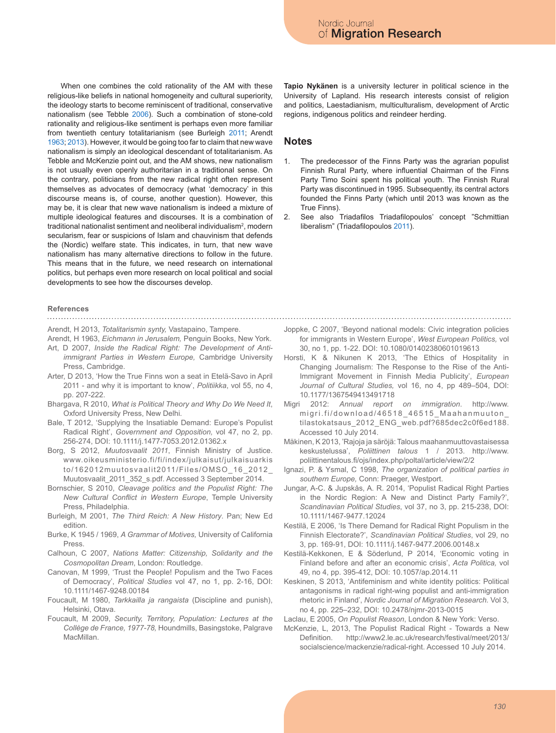When one combines the cold rationality of the AM with these religious-like beliefs in national homogeneity and cultural superiority, the ideology starts to become reminiscent of traditional, conservative nationalism (see Tebble 2006). Such a combination of stone-cold rationality and religious-like sentiment is perhaps even more familiar from twentieth century totalitarianism (see Burleigh 2011; Arendt 1963; 2013). However, it would be going too far to claim that new wave nationalism is simply an ideological descendant of totalitarianism. As Tebble and McKenzie point out, and the AM shows, new nationalism is not usually even openly authoritarian in a traditional sense. On the contrary, politicians from the new radical right often represent themselves as advocates of democracy (what 'democracy' in this discourse means is, of course, another question). However, this may be, it is clear that new wave nationalism is indeed a mixture of multiple ideological features and discourses. It is a combination of traditional nationalist sentiment and neoliberal individualism $^2$ , modern secularism, fear or suspicions of Islam and chauvinism that defends the (Nordic) welfare state. This indicates, in turn, that new wave nationalism has many alternative directions to follow in the future. This means that in the future, we need research on international politics, but perhaps even more research on local political and social developments to see how the discourses develop.

#### **References**

Arendt, H 2013, *Totalitarismin synty,* Vastapaino, Tampere.

- Arendt, H 1963, *Eichmann in Jerusalem,* Penguin Books, New York.
- Art, D 2007, *Inside the Radical Right: The Development of Antiimmigrant Parties in Western Europe,* Cambridge University Press, Cambridge.
- Arter, D 2013, 'How the True Finns won a seat in Etelä-Savo in April 2011 - and why it is important to know', *Politiikka*, vol 55, no 4, pp. 207-222.
- Bhargava, R 2010, *What is Political Theory and Why Do We Need It*, Oxford University Press, New Delhi.
- Bale, T 2012, 'Supplying the Insatiable Demand: Europe's Populist Radical Right', *Government and Opposition,* vol 47, no 2, pp. 256-274, DOI: 10.1111/j.1477-7053.2012.01362.x
- Borg, S 2012, *Muutosvaalit 2011*, Finnish Ministry of Justice. www.oikeusministerio.fi/fi/index/julkaisut/julkaisuarkis to/162012muutosvaalit2011/Files/OMSO\_16\_2012\_ Muutosvaalit\_2011\_352\_s.pdf. Accessed 3 September 2014.
- Bornschier, S 2010, *Cleavage politics and the Populist Right: The New Cultural Conflict in Western Europe*, Temple University Press, Philadelphia.
- Burleigh, M 2001, *The Third Reich: A New History*. Pan; New Ed edition.
- Burke, K 1945 / 1969, *A Grammar of Motives,* University of California Press.
- Calhoun, C 2007, *Nations Matter: Citizenship, Solidarity and the Cosmopolitan Dream*, London: Routledge.
- Canovan, M 1999, 'Trust the People! Populism and the Two Faces of Democracy', *Political Studies* vol 47, no 1, pp. 2-16, DOI: 10.1111/1467-9248.00184
- Foucault, M 1980, *Tarkkailla ja rangaista* (Discipline and punish), Helsinki, Otava.
- Foucault, M 2009, *Security, Territory, Population: Lectures at the Collège de France, 1977-78,* Houndmills, Basingstoke, Palgrave MacMillan.

**Tapio Nykänen** is a university lecturer in political science in the University of Lapland. His research interests consist of religion and politics, Laestadianism, multiculturalism, development of Arctic regions, indigenous politics and reindeer herding.

#### **Notes**

- 1. The predecessor of the Finns Party was the agrarian populist Finnish Rural Party, where influential Chairman of the Finns Party Timo Soini spent his political youth. The Finnish Rural Party was discontinued in 1995. Subsequently, its central actors founded the Finns Party (which until 2013 was known as the True Finns).
- See also Triadafilos Triadafilopoulos' concept "Schmittian liberalism" (Triadafilopoulos 2011).

- Joppke, C 2007, 'Beyond national models: Civic integration policies for immigrants in Western Europe', *West European Politics,* vol 30, no 1, pp. 1-22. DOI: 10.1080/01402380601019613
- Horsti, K & Nikunen K 2013, 'The Ethics of Hospitality in Changing Journalism: The Response to the Rise of the Anti-Immigrant Movement in Finnish Media Publicity', *European Journal of Cultural Studies,* vol 16, no 4, pp 489–504, DOI: 10.1177/1367549413491718
- Migri 2012: *Annual report on immigration*. http://www. migri.fi/download/46518\_46515\_Maahanmuuton\_ tilastokatsaus\_2012\_ENG\_web.pdf?685dec2c0f6ed188. Accessed 10 July 2014.
- Mäkinen, K 2013, 'Rajoja ja säröjä: Talous maahanmuuttovastaisessa keskustelussa', *Poliittinen talous* 1 / 2013. http://www. poliittinentalous.fi/ojs/index.php/poltal/article/view/2/2
- Ignazi, P. & Ysmal, C 1998, *The organization of political parties in southern Europe,* Conn: Praeger, Westport.
- Jungar, A-C. & Jupskås, A. R. 2014, 'Populist Radical Right Parties in the Nordic Region: A New and Distinct Party Family?', *Scandinavian Political Studies*, vol 37, no 3, pp. 215-238, DOI: 10.1111/1467-9477.12024
- Kestilä, E 2006, 'Is There Demand for Radical Right Populism in the Finnish Electorate?', *Scandinavian Political Studies*, vol 29, no 3, pp. 169-91, DOI: 10.1111/j.1467-9477.2006.00148.x
- Kestilä-Kekkonen, E & Söderlund, P 2014, 'Economic voting in Finland before and after an economic crisis', *Acta Politica,* vol 49, no 4, pp. 395-412, DOI: 10.1057/ap.2014.11
- Keskinen, S 2013, 'Antifeminism and white identity politics: Political antagonisms in radical right-wing populist and anti-immigration rhetoric in Finland', *Nordic Journal of Migration Research.* Vol 3, no 4, pp. 225–232, DOI: 10.2478/njmr-2013-0015
- Laclau, E 2005, *On Populist Reason*, London & New York: Verso.
- McKenzie, L, 2013, The Populist Radical Right Towards a New Definition. http://www2.le.ac.uk/research/festival/meet/2013/ socialscience/mackenzie/radical-right. Accessed 10 July 2014.